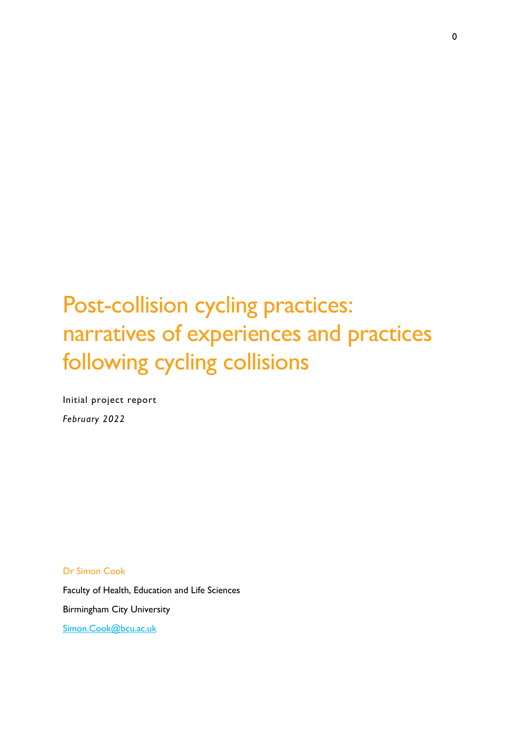# Post-collision cycling practices: narratives of experiences and practices following cycling collisions

Initial project report *February 2022*

Dr Simon Cook

Faculty of Health, Education and Life Sciences Birmingham City University [Simon.Cook@bcu.ac.uk](mailto:Simon.Cook@bcu.ac.uk)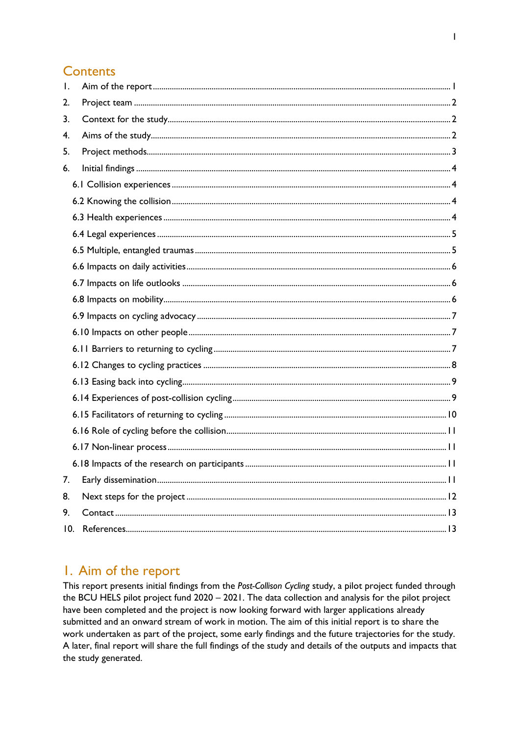# **Contents**

| $\mathbf{L}$ |  |
|--------------|--|
| 2.           |  |
| 3.           |  |
| 4.           |  |
| 5.           |  |
| 6.           |  |
|              |  |
|              |  |
|              |  |
|              |  |
|              |  |
|              |  |
|              |  |
|              |  |
|              |  |
|              |  |
|              |  |
|              |  |
|              |  |
|              |  |
|              |  |
|              |  |
|              |  |
|              |  |
| 7.           |  |
| 8.           |  |
| 9.           |  |
| 10.          |  |
|              |  |

# <span id="page-1-0"></span>I. Aim of the report

This report presents initial findings from the Post-Collison Cycling study, a pilot project funded through the BCU HELS pilot project fund 2020 - 2021. The data collection and analysis for the pilot project have been completed and the project is now looking forward with larger applications already submitted and an onward stream of work in motion. The aim of this initial report is to share the work undertaken as part of the project, some early findings and the future trajectories for the study. A later, final report will share the full findings of the study and details of the outputs and impacts that the study generated.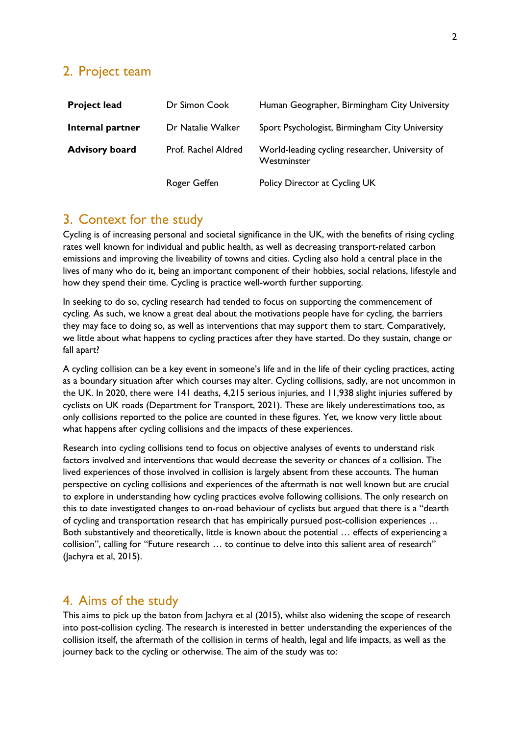## <span id="page-2-0"></span>2. Project team

| <b>Project lead</b>   | Dr Simon Cook       | Human Geographer, Birmingham City University                   |
|-----------------------|---------------------|----------------------------------------------------------------|
| Internal partner      | Dr Natalie Walker   | Sport Psychologist, Birmingham City University                 |
| <b>Advisory board</b> | Prof. Rachel Aldred | World-leading cycling researcher, University of<br>Westminster |
|                       | Roger Geffen        | Policy Director at Cycling UK                                  |

# <span id="page-2-1"></span>3. Context for the study

Cycling is of increasing personal and societal significance in the UK, with the benefits of rising cycling rates well known for individual and public health, as well as decreasing transport-related carbon emissions and improving the liveability of towns and cities. Cycling also hold a central place in the lives of many who do it, being an important component of their hobbies, social relations, lifestyle and how they spend their time. Cycling is practice well-worth further supporting.

In seeking to do so, cycling research had tended to focus on supporting the commencement of cycling. As such, we know a great deal about the motivations people have for cycling, the barriers they may face to doing so, as well as interventions that may support them to start. Comparatively, we little about what happens to cycling practices after they have started. Do they sustain, change or fall apart?

A cycling collision can be a key event in someone's life and in the life of their cycling practices, acting as a boundary situation after which courses may alter. Cycling collisions, sadly, are not uncommon in the UK. In 2020, there were 141 deaths, 4,215 serious injuries, and 11,938 slight injuries suffered by cyclists on UK roads (Department for Transport, 2021). These are likely underestimations too, as only collisions reported to the police are counted in these figures. Yet, we know very little about what happens after cycling collisions and the impacts of these experiences.

Research into cycling collisions tend to focus on objective analyses of events to understand risk factors involved and interventions that would decrease the severity or chances of a collision. The lived experiences of those involved in collision is largely absent from these accounts. The human perspective on cycling collisions and experiences of the aftermath is not well known but are crucial to explore in understanding how cycling practices evolve following collisions. The only research on this to date investigated changes to on-road behaviour of cyclists but argued that there is a "dearth of cycling and transportation research that has empirically pursued post-collision experiences … Both substantively and theoretically, little is known about the potential … effects of experiencing a collision", calling for "Future research … to continue to delve into this salient area of research" (Jachyra et al, 2015).

## <span id="page-2-2"></span>4. Aims of the study

This aims to pick up the baton from Jachyra et al (2015), whilst also widening the scope of research into post-collision cycling. The research is interested in better understanding the experiences of the collision itself, the aftermath of the collision in terms of health, legal and life impacts, as well as the journey back to the cycling or otherwise. The aim of the study was to: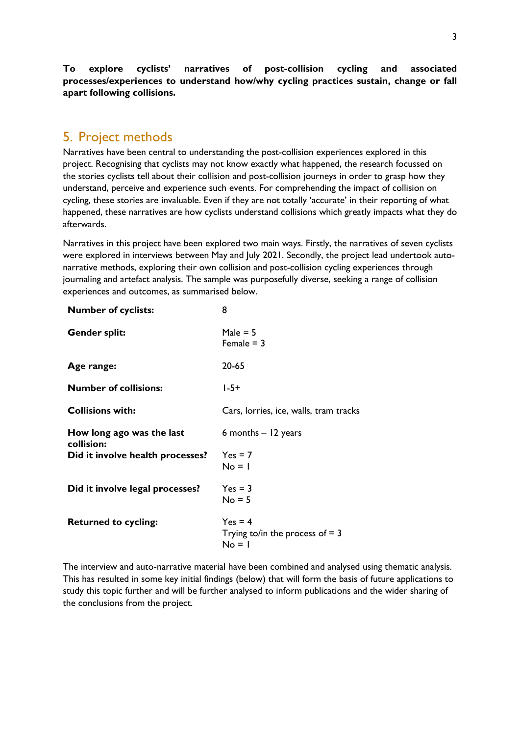**To explore cyclists' narratives of post-collision cycling and associated processes/experiences to understand how/why cycling practices sustain, change or fall apart following collisions.**

# <span id="page-3-0"></span>5. Project methods

Narratives have been central to understanding the post-collision experiences explored in this project. Recognising that cyclists may not know exactly what happened, the research focussed on the stories cyclists tell about their collision and post-collision journeys in order to grasp how they understand, perceive and experience such events. For comprehending the impact of collision on cycling, these stories are invaluable. Even if they are not totally 'accurate' in their reporting of what happened, these narratives are how cyclists understand collisions which greatly impacts what they do afterwards.

Narratives in this project have been explored two main ways. Firstly, the narratives of seven cyclists were explored in interviews between May and July 2021. Secondly, the project lead undertook autonarrative methods, exploring their own collision and post-collision cycling experiences through journaling and artefact analysis. The sample was purposefully diverse, seeking a range of collision experiences and outcomes, as summarised below.

| <b>Number of cyclists:</b>              | 8                                                          |
|-----------------------------------------|------------------------------------------------------------|
| <b>Gender split:</b>                    | Male $= 5$<br>Female $=$ 3                                 |
| Age range:                              | 20-65                                                      |
| <b>Number of collisions:</b>            | $1 - 5 +$                                                  |
| <b>Collisions with:</b>                 | Cars, lorries, ice, walls, tram tracks                     |
| How long ago was the last<br>collision: | 6 months $-12$ years                                       |
| Did it involve health processes?        | $Yes = 7$<br>$No = 1$                                      |
| Did it involve legal processes?         | $Yes = 3$<br>$No = 5$                                      |
| <b>Returned to cycling:</b>             | $Yes = 4$<br>Trying to/in the process of $=$ 3<br>$No = 1$ |

The interview and auto-narrative material have been combined and analysed using thematic analysis. This has resulted in some key initial findings (below) that will form the basis of future applications to study this topic further and will be further analysed to inform publications and the wider sharing of the conclusions from the project.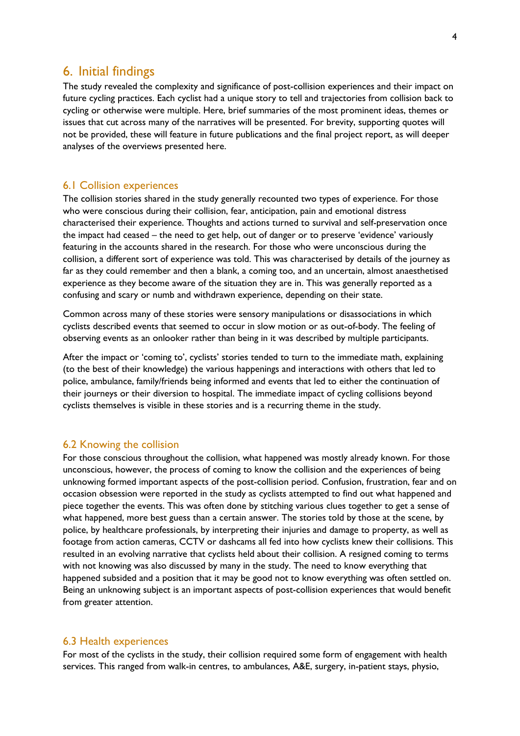## <span id="page-4-0"></span>6. Initial findings

The study revealed the complexity and significance of post-collision experiences and their impact on future cycling practices. Each cyclist had a unique story to tell and trajectories from collision back to cycling or otherwise were multiple. Here, brief summaries of the most prominent ideas, themes or issues that cut across many of the narratives will be presented. For brevity, supporting quotes will not be provided, these will feature in future publications and the final project report, as will deeper analyses of the overviews presented here.

#### <span id="page-4-1"></span>6.1 Collision experiences

The collision stories shared in the study generally recounted two types of experience. For those who were conscious during their collision, fear, anticipation, pain and emotional distress characterised their experience. Thoughts and actions turned to survival and self-preservation once the impact had ceased – the need to get help, out of danger or to preserve 'evidence' variously featuring in the accounts shared in the research. For those who were unconscious during the collision, a different sort of experience was told. This was characterised by details of the journey as far as they could remember and then a blank, a coming too, and an uncertain, almost anaesthetised experience as they become aware of the situation they are in. This was generally reported as a confusing and scary or numb and withdrawn experience, depending on their state.

Common across many of these stories were sensory manipulations or disassociations in which cyclists described events that seemed to occur in slow motion or as out-of-body. The feeling of observing events as an onlooker rather than being in it was described by multiple participants.

After the impact or 'coming to', cyclists' stories tended to turn to the immediate math, explaining (to the best of their knowledge) the various happenings and interactions with others that led to police, ambulance, family/friends being informed and events that led to either the continuation of their journeys or their diversion to hospital. The immediate impact of cycling collisions beyond cyclists themselves is visible in these stories and is a recurring theme in the study.

#### <span id="page-4-2"></span>6.2 Knowing the collision

For those conscious throughout the collision, what happened was mostly already known. For those unconscious, however, the process of coming to know the collision and the experiences of being unknowing formed important aspects of the post-collision period. Confusion, frustration, fear and on occasion obsession were reported in the study as cyclists attempted to find out what happened and piece together the events. This was often done by stitching various clues together to get a sense of what happened, more best guess than a certain answer. The stories told by those at the scene, by police, by healthcare professionals, by interpreting their injuries and damage to property, as well as footage from action cameras, CCTV or dashcams all fed into how cyclists knew their collisions. This resulted in an evolving narrative that cyclists held about their collision. A resigned coming to terms with not knowing was also discussed by many in the study. The need to know everything that happened subsided and a position that it may be good not to know everything was often settled on. Being an unknowing subject is an important aspects of post-collision experiences that would benefit from greater attention.

#### <span id="page-4-3"></span>6.3 Health experiences

For most of the cyclists in the study, their collision required some form of engagement with health services. This ranged from walk-in centres, to ambulances, A&E, surgery, in-patient stays, physio,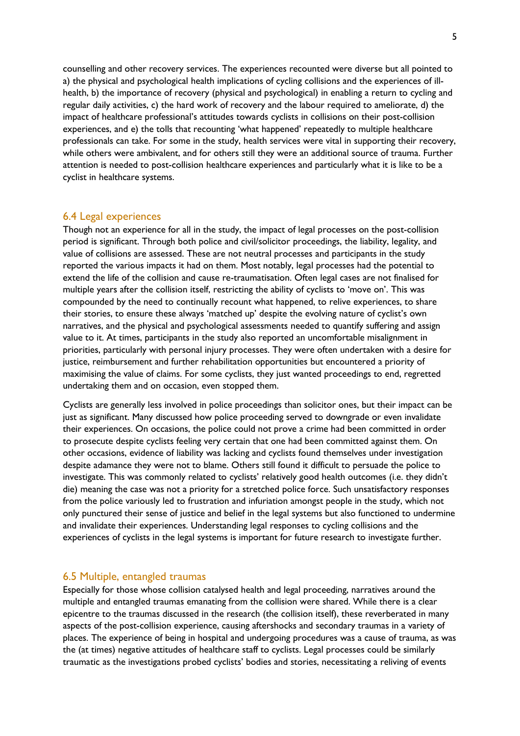counselling and other recovery services. The experiences recounted were diverse but all pointed to a) the physical and psychological health implications of cycling collisions and the experiences of illhealth, b) the importance of recovery (physical and psychological) in enabling a return to cycling and regular daily activities, c) the hard work of recovery and the labour required to ameliorate, d) the impact of healthcare professional's attitudes towards cyclists in collisions on their post-collision experiences, and e) the tolls that recounting 'what happened' repeatedly to multiple healthcare professionals can take. For some in the study, health services were vital in supporting their recovery, while others were ambivalent, and for others still they were an additional source of trauma. Further attention is needed to post-collision healthcare experiences and particularly what it is like to be a cyclist in healthcare systems.

#### <span id="page-5-0"></span>6.4 Legal experiences

Though not an experience for all in the study, the impact of legal processes on the post-collision period is significant. Through both police and civil/solicitor proceedings, the liability, legality, and value of collisions are assessed. These are not neutral processes and participants in the study reported the various impacts it had on them. Most notably, legal processes had the potential to extend the life of the collision and cause re-traumatisation. Often legal cases are not finalised for multiple years after the collision itself, restricting the ability of cyclists to 'move on'. This was compounded by the need to continually recount what happened, to relive experiences, to share their stories, to ensure these always 'matched up' despite the evolving nature of cyclist's own narratives, and the physical and psychological assessments needed to quantify suffering and assign value to it. At times, participants in the study also reported an uncomfortable misalignment in priorities, particularly with personal injury processes. They were often undertaken with a desire for justice, reimbursement and further rehabilitation opportunities but encountered a priority of maximising the value of claims. For some cyclists, they just wanted proceedings to end, regretted undertaking them and on occasion, even stopped them.

Cyclists are generally less involved in police proceedings than solicitor ones, but their impact can be just as significant. Many discussed how police proceeding served to downgrade or even invalidate their experiences. On occasions, the police could not prove a crime had been committed in order to prosecute despite cyclists feeling very certain that one had been committed against them. On other occasions, evidence of liability was lacking and cyclists found themselves under investigation despite adamance they were not to blame. Others still found it difficult to persuade the police to investigate. This was commonly related to cyclists' relatively good health outcomes (i.e. they didn't die) meaning the case was not a priority for a stretched police force. Such unsatisfactory responses from the police variously led to frustration and infuriation amongst people in the study, which not only punctured their sense of justice and belief in the legal systems but also functioned to undermine and invalidate their experiences. Understanding legal responses to cycling collisions and the experiences of cyclists in the legal systems is important for future research to investigate further.

#### <span id="page-5-1"></span>6.5 Multiple, entangled traumas

Especially for those whose collision catalysed health and legal proceeding, narratives around the multiple and entangled traumas emanating from the collision were shared. While there is a clear epicentre to the traumas discussed in the research (the collision itself), these reverberated in many aspects of the post-collision experience, causing aftershocks and secondary traumas in a variety of places. The experience of being in hospital and undergoing procedures was a cause of trauma, as was the (at times) negative attitudes of healthcare staff to cyclists. Legal processes could be similarly traumatic as the investigations probed cyclists' bodies and stories, necessitating a reliving of events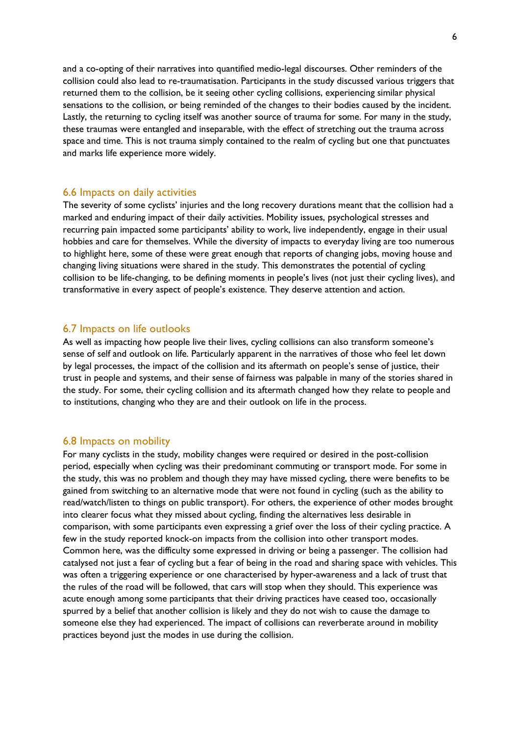and a co-opting of their narratives into quantified medio-legal discourses. Other reminders of the collision could also lead to re-traumatisation. Participants in the study discussed various triggers that returned them to the collision, be it seeing other cycling collisions, experiencing similar physical sensations to the collision, or being reminded of the changes to their bodies caused by the incident. Lastly, the returning to cycling itself was another source of trauma for some. For many in the study, these traumas were entangled and inseparable, with the effect of stretching out the trauma across space and time. This is not trauma simply contained to the realm of cycling but one that punctuates and marks life experience more widely.

#### <span id="page-6-0"></span>6.6 Impacts on daily activities

The severity of some cyclists' injuries and the long recovery durations meant that the collision had a marked and enduring impact of their daily activities. Mobility issues, psychological stresses and recurring pain impacted some participants' ability to work, live independently, engage in their usual hobbies and care for themselves. While the diversity of impacts to everyday living are too numerous to highlight here, some of these were great enough that reports of changing jobs, moving house and changing living situations were shared in the study. This demonstrates the potential of cycling collision to be life-changing, to be defining moments in people's lives (not just their cycling lives), and transformative in every aspect of people's existence. They deserve attention and action.

#### <span id="page-6-1"></span>6.7 Impacts on life outlooks

As well as impacting how people live their lives, cycling collisions can also transform someone's sense of self and outlook on life. Particularly apparent in the narratives of those who feel let down by legal processes, the impact of the collision and its aftermath on people's sense of justice, their trust in people and systems, and their sense of fairness was palpable in many of the stories shared in the study. For some, their cycling collision and its aftermath changed how they relate to people and to institutions, changing who they are and their outlook on life in the process.

#### <span id="page-6-2"></span>6.8 Impacts on mobility

For many cyclists in the study, mobility changes were required or desired in the post-collision period, especially when cycling was their predominant commuting or transport mode. For some in the study, this was no problem and though they may have missed cycling, there were benefits to be gained from switching to an alternative mode that were not found in cycling (such as the ability to read/watch/listen to things on public transport). For others, the experience of other modes brought into clearer focus what they missed about cycling, finding the alternatives less desirable in comparison, with some participants even expressing a grief over the loss of their cycling practice. A few in the study reported knock-on impacts from the collision into other transport modes. Common here, was the difficulty some expressed in driving or being a passenger. The collision had catalysed not just a fear of cycling but a fear of being in the road and sharing space with vehicles. This was often a triggering experience or one characterised by hyper-awareness and a lack of trust that the rules of the road will be followed, that cars will stop when they should. This experience was acute enough among some participants that their driving practices have ceased too, occasionally spurred by a belief that another collision is likely and they do not wish to cause the damage to someone else they had experienced. The impact of collisions can reverberate around in mobility practices beyond just the modes in use during the collision.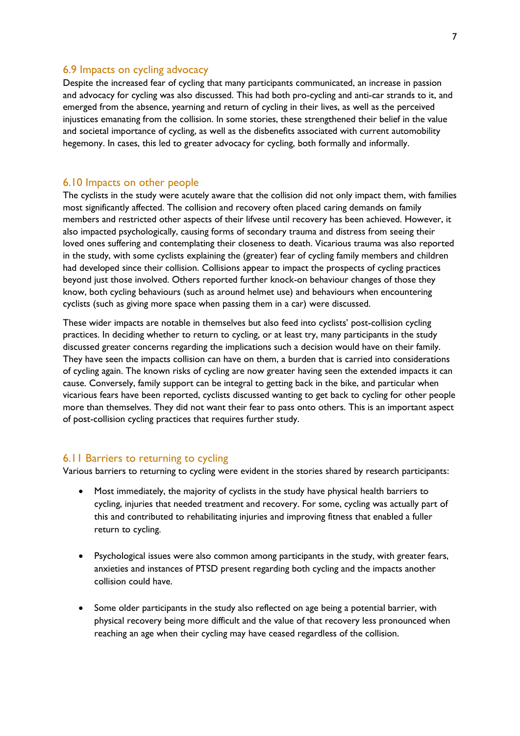#### <span id="page-7-0"></span>6.9 Impacts on cycling advocacy

Despite the increased fear of cycling that many participants communicated, an increase in passion and advocacy for cycling was also discussed. This had both pro-cycling and anti-car strands to it, and emerged from the absence, yearning and return of cycling in their lives, as well as the perceived injustices emanating from the collision. In some stories, these strengthened their belief in the value and societal importance of cycling, as well as the disbenefits associated with current automobility hegemony. In cases, this led to greater advocacy for cycling, both formally and informally.

#### <span id="page-7-1"></span>6.10 Impacts on other people

The cyclists in the study were acutely aware that the collision did not only impact them, with families most significantly affected. The collision and recovery often placed caring demands on family members and restricted other aspects of their lifvese until recovery has been achieved. However, it also impacted psychologically, causing forms of secondary trauma and distress from seeing their loved ones suffering and contemplating their closeness to death. Vicarious trauma was also reported in the study, with some cyclists explaining the (greater) fear of cycling family members and children had developed since their collision. Collisions appear to impact the prospects of cycling practices beyond just those involved. Others reported further knock-on behaviour changes of those they know, both cycling behaviours (such as around helmet use) and behaviours when encountering cyclists (such as giving more space when passing them in a car) were discussed.

These wider impacts are notable in themselves but also feed into cyclists' post-collision cycling practices. In deciding whether to return to cycling, or at least try, many participants in the study discussed greater concerns regarding the implications such a decision would have on their family. They have seen the impacts collision can have on them, a burden that is carried into considerations of cycling again. The known risks of cycling are now greater having seen the extended impacts it can cause. Conversely, family support can be integral to getting back in the bike, and particular when vicarious fears have been reported, cyclists discussed wanting to get back to cycling for other people more than themselves. They did not want their fear to pass onto others. This is an important aspect of post-collision cycling practices that requires further study.

#### <span id="page-7-2"></span>6.11 Barriers to returning to cycling

Various barriers to returning to cycling were evident in the stories shared by research participants:

- Most immediately, the majority of cyclists in the study have physical health barriers to cycling, injuries that needed treatment and recovery. For some, cycling was actually part of this and contributed to rehabilitating injuries and improving fitness that enabled a fuller return to cycling.
- Psychological issues were also common among participants in the study, with greater fears, anxieties and instances of PTSD present regarding both cycling and the impacts another collision could have.
- Some older participants in the study also reflected on age being a potential barrier, with physical recovery being more difficult and the value of that recovery less pronounced when reaching an age when their cycling may have ceased regardless of the collision.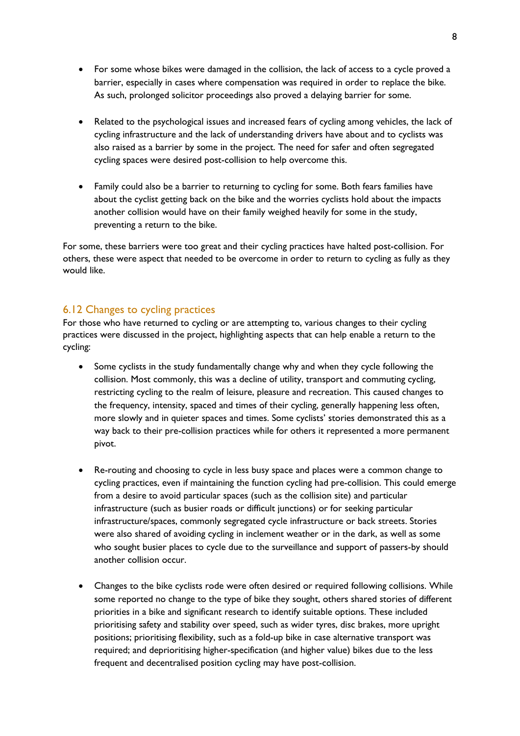- For some whose bikes were damaged in the collision, the lack of access to a cycle proved a barrier, especially in cases where compensation was required in order to replace the bike. As such, prolonged solicitor proceedings also proved a delaying barrier for some.
- Related to the psychological issues and increased fears of cycling among vehicles, the lack of cycling infrastructure and the lack of understanding drivers have about and to cyclists was also raised as a barrier by some in the project. The need for safer and often segregated cycling spaces were desired post-collision to help overcome this.
- Family could also be a barrier to returning to cycling for some. Both fears families have about the cyclist getting back on the bike and the worries cyclists hold about the impacts another collision would have on their family weighed heavily for some in the study, preventing a return to the bike.

For some, these barriers were too great and their cycling practices have halted post-collision. For others, these were aspect that needed to be overcome in order to return to cycling as fully as they would like.

#### <span id="page-8-0"></span>6.12 Changes to cycling practices

For those who have returned to cycling or are attempting to, various changes to their cycling practices were discussed in the project, highlighting aspects that can help enable a return to the cycling:

- Some cyclists in the study fundamentally change why and when they cycle following the collision. Most commonly, this was a decline of utility, transport and commuting cycling, restricting cycling to the realm of leisure, pleasure and recreation. This caused changes to the frequency, intensity, spaced and times of their cycling, generally happening less often, more slowly and in quieter spaces and times. Some cyclists' stories demonstrated this as a way back to their pre-collision practices while for others it represented a more permanent pivot.
- Re-routing and choosing to cycle in less busy space and places were a common change to cycling practices, even if maintaining the function cycling had pre-collision. This could emerge from a desire to avoid particular spaces (such as the collision site) and particular infrastructure (such as busier roads or difficult junctions) or for seeking particular infrastructure/spaces, commonly segregated cycle infrastructure or back streets. Stories were also shared of avoiding cycling in inclement weather or in the dark, as well as some who sought busier places to cycle due to the surveillance and support of passers-by should another collision occur.
- Changes to the bike cyclists rode were often desired or required following collisions. While some reported no change to the type of bike they sought, others shared stories of different priorities in a bike and significant research to identify suitable options. These included prioritising safety and stability over speed, such as wider tyres, disc brakes, more upright positions; prioritising flexibility, such as a fold-up bike in case alternative transport was required; and deprioritising higher-specification (and higher value) bikes due to the less frequent and decentralised position cycling may have post-collision.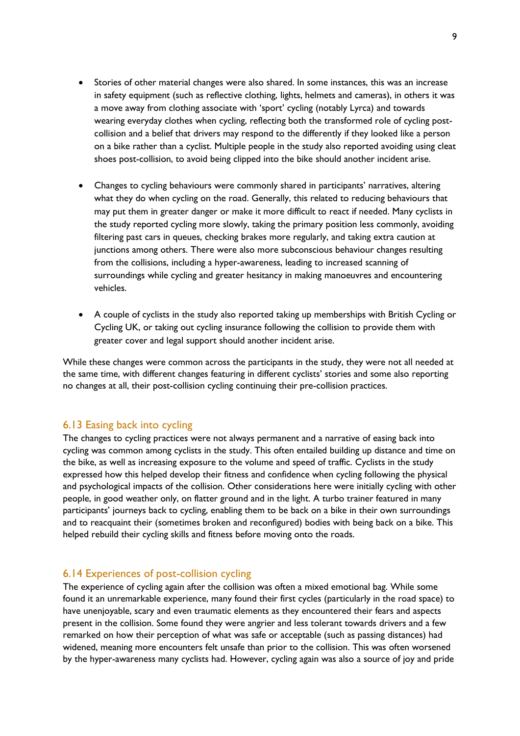- Stories of other material changes were also shared. In some instances, this was an increase in safety equipment (such as reflective clothing, lights, helmets and cameras), in others it was a move away from clothing associate with 'sport' cycling (notably Lyrca) and towards wearing everyday clothes when cycling, reflecting both the transformed role of cycling postcollision and a belief that drivers may respond to the differently if they looked like a person on a bike rather than a cyclist. Multiple people in the study also reported avoiding using cleat shoes post-collision, to avoid being clipped into the bike should another incident arise.
- Changes to cycling behaviours were commonly shared in participants' narratives, altering what they do when cycling on the road. Generally, this related to reducing behaviours that may put them in greater danger or make it more difficult to react if needed. Many cyclists in the study reported cycling more slowly, taking the primary position less commonly, avoiding filtering past cars in queues, checking brakes more regularly, and taking extra caution at junctions among others. There were also more subconscious behaviour changes resulting from the collisions, including a hyper-awareness, leading to increased scanning of surroundings while cycling and greater hesitancy in making manoeuvres and encountering vehicles.
- A couple of cyclists in the study also reported taking up memberships with British Cycling or Cycling UK, or taking out cycling insurance following the collision to provide them with greater cover and legal support should another incident arise.

While these changes were common across the participants in the study, they were not all needed at the same time, with different changes featuring in different cyclists' stories and some also reporting no changes at all, their post-collision cycling continuing their pre-collision practices.

#### <span id="page-9-0"></span>6.13 Easing back into cycling

The changes to cycling practices were not always permanent and a narrative of easing back into cycling was common among cyclists in the study. This often entailed building up distance and time on the bike, as well as increasing exposure to the volume and speed of traffic. Cyclists in the study expressed how this helped develop their fitness and confidence when cycling following the physical and psychological impacts of the collision. Other considerations here were initially cycling with other people, in good weather only, on flatter ground and in the light. A turbo trainer featured in many participants' journeys back to cycling, enabling them to be back on a bike in their own surroundings and to reacquaint their (sometimes broken and reconfigured) bodies with being back on a bike. This helped rebuild their cycling skills and fitness before moving onto the roads.

#### <span id="page-9-1"></span>6.14 Experiences of post-collision cycling

The experience of cycling again after the collision was often a mixed emotional bag. While some found it an unremarkable experience, many found their first cycles (particularly in the road space) to have unenjoyable, scary and even traumatic elements as they encountered their fears and aspects present in the collision. Some found they were angrier and less tolerant towards drivers and a few remarked on how their perception of what was safe or acceptable (such as passing distances) had widened, meaning more encounters felt unsafe than prior to the collision. This was often worsened by the hyper-awareness many cyclists had. However, cycling again was also a source of joy and pride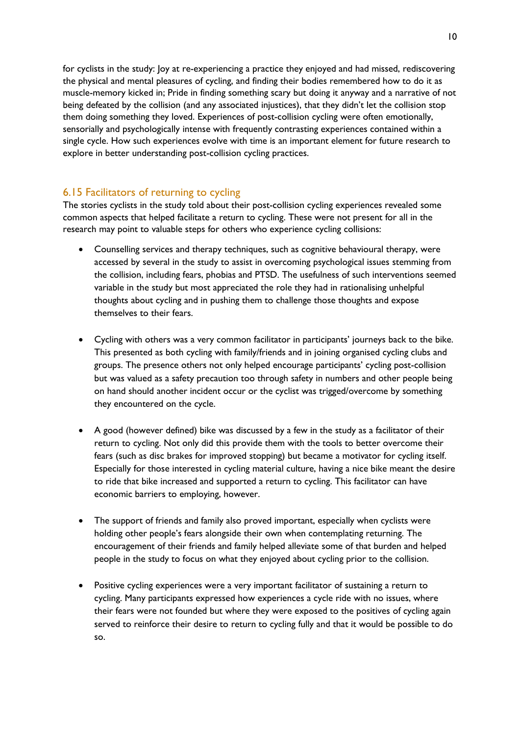for cyclists in the study: Joy at re-experiencing a practice they enjoyed and had missed, rediscovering the physical and mental pleasures of cycling, and finding their bodies remembered how to do it as muscle-memory kicked in; Pride in finding something scary but doing it anyway and a narrative of not being defeated by the collision (and any associated injustices), that they didn't let the collision stop them doing something they loved. Experiences of post-collision cycling were often emotionally, sensorially and psychologically intense with frequently contrasting experiences contained within a single cycle. How such experiences evolve with time is an important element for future research to explore in better understanding post-collision cycling practices.

## <span id="page-10-0"></span>6.15 Facilitators of returning to cycling

The stories cyclists in the study told about their post-collision cycling experiences revealed some common aspects that helped facilitate a return to cycling. These were not present for all in the research may point to valuable steps for others who experience cycling collisions:

- Counselling services and therapy techniques, such as cognitive behavioural therapy, were accessed by several in the study to assist in overcoming psychological issues stemming from the collision, including fears, phobias and PTSD. The usefulness of such interventions seemed variable in the study but most appreciated the role they had in rationalising unhelpful thoughts about cycling and in pushing them to challenge those thoughts and expose themselves to their fears.
- Cycling with others was a very common facilitator in participants' journeys back to the bike. This presented as both cycling with family/friends and in joining organised cycling clubs and groups. The presence others not only helped encourage participants' cycling post-collision but was valued as a safety precaution too through safety in numbers and other people being on hand should another incident occur or the cyclist was trigged/overcome by something they encountered on the cycle.
- A good (however defined) bike was discussed by a few in the study as a facilitator of their return to cycling. Not only did this provide them with the tools to better overcome their fears (such as disc brakes for improved stopping) but became a motivator for cycling itself. Especially for those interested in cycling material culture, having a nice bike meant the desire to ride that bike increased and supported a return to cycling. This facilitator can have economic barriers to employing, however.
- The support of friends and family also proved important, especially when cyclists were holding other people's fears alongside their own when contemplating returning. The encouragement of their friends and family helped alleviate some of that burden and helped people in the study to focus on what they enjoyed about cycling prior to the collision.
- Positive cycling experiences were a very important facilitator of sustaining a return to cycling. Many participants expressed how experiences a cycle ride with no issues, where their fears were not founded but where they were exposed to the positives of cycling again served to reinforce their desire to return to cycling fully and that it would be possible to do so.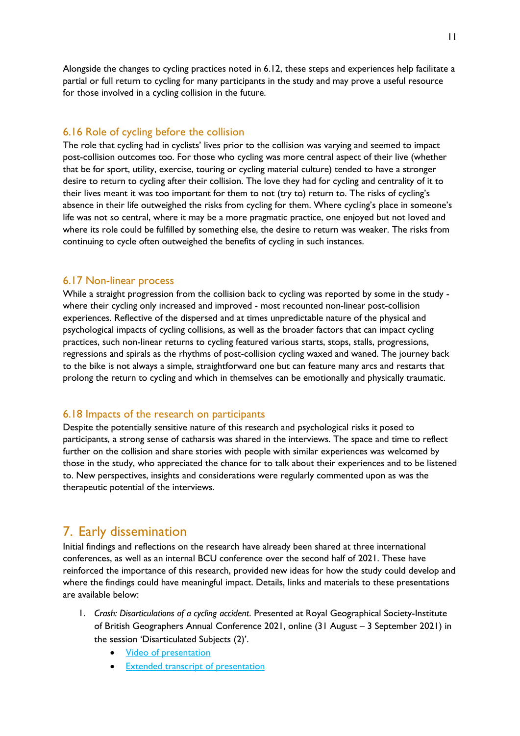Alongside the changes to cycling practices noted in 6.12, these steps and experiences help facilitate a partial or full return to cycling for many participants in the study and may prove a useful resource for those involved in a cycling collision in the future.

#### <span id="page-11-0"></span>6.16 Role of cycling before the collision

The role that cycling had in cyclists' lives prior to the collision was varying and seemed to impact post-collision outcomes too. For those who cycling was more central aspect of their live (whether that be for sport, utility, exercise, touring or cycling material culture) tended to have a stronger desire to return to cycling after their collision. The love they had for cycling and centrality of it to their lives meant it was too important for them to not (try to) return to. The risks of cycling's absence in their life outweighed the risks from cycling for them. Where cycling's place in someone's life was not so central, where it may be a more pragmatic practice, one enjoyed but not loved and where its role could be fulfilled by something else, the desire to return was weaker. The risks from continuing to cycle often outweighed the benefits of cycling in such instances.

#### <span id="page-11-1"></span>6.17 Non-linear process

While a straight progression from the collision back to cycling was reported by some in the study where their cycling only increased and improved - most recounted non-linear post-collision experiences. Reflective of the dispersed and at times unpredictable nature of the physical and psychological impacts of cycling collisions, as well as the broader factors that can impact cycling practices, such non-linear returns to cycling featured various starts, stops, stalls, progressions, regressions and spirals as the rhythms of post-collision cycling waxed and waned. The journey back to the bike is not always a simple, straightforward one but can feature many arcs and restarts that prolong the return to cycling and which in themselves can be emotionally and physically traumatic.

#### <span id="page-11-2"></span>6.18 Impacts of the research on participants

Despite the potentially sensitive nature of this research and psychological risks it posed to participants, a strong sense of catharsis was shared in the interviews. The space and time to reflect further on the collision and share stories with people with similar experiences was welcomed by those in the study, who appreciated the chance for to talk about their experiences and to be listened to. New perspectives, insights and considerations were regularly commented upon as was the therapeutic potential of the interviews.

## <span id="page-11-3"></span>7. Early dissemination

Initial findings and reflections on the research have already been shared at three international conferences, as well as an internal BCU conference over the second half of 2021. These have reinforced the importance of this research, provided new ideas for how the study could develop and where the findings could have meaningful impact. Details, links and materials to these presentations are available below:

- 1. *Crash: Disarticulations of a cycling accident*. Presented at Royal Geographical Society-Institute of British Geographers Annual Conference 2021, online (31 August – 3 September 2021) in the session 'Disarticulated Subjects (2)'.
	- [Video of presentation](https://youtu.be/F1fuTZ8kYC8)
	- **[Extended transcript of presentation](http://www.open-access.bcu.ac.uk/12189/)**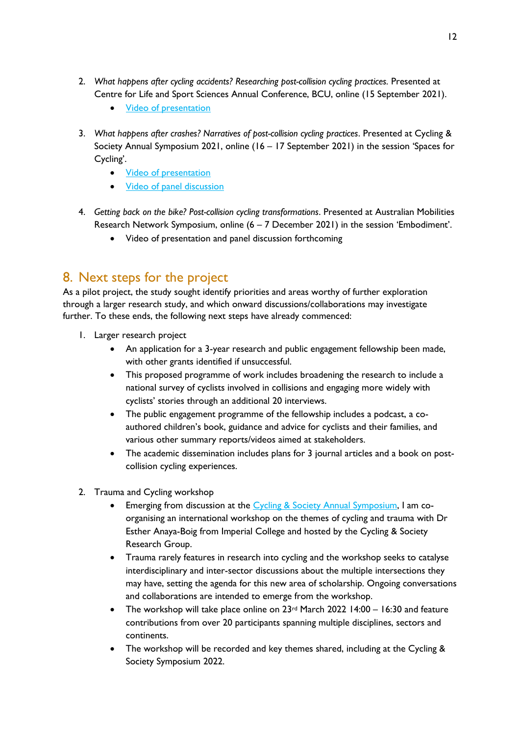- 2. *What happens after cycling accidents? Researching post-collision cycling practices.* Presented at Centre for Life and Sport Sciences Annual Conference, BCU, online (15 September 2021).
	- **[Video of presentation](https://youtu.be/fuDJCclU5iw)**
- 3. *What happens after crashes? Narratives of post-collision cycling practices*. Presented at Cycling & Society Annual Symposium 2021, online (16 – 17 September 2021) in the session 'Spaces for Cycling'.
	- [Video of presentation](https://www.youtube.com/watch?v=JDfiSQmuDQw&list=PLILjpXTCX6zFvo16R4krIzxR7fnbrihtk&index=5&t=23s)
	- [Video of panel discussion](https://www.youtube.com/watch?v=LOlG9UFwJ8A&t=578s&ab_channel=CyclingandSociety)
- 4. *Getting back on the bike? Post-collision cycling transformations*. Presented at Australian Mobilities Research Network Symposium, online (6 – 7 December 2021) in the session 'Embodiment'.
	- Video of presentation and panel discussion forthcoming

# <span id="page-12-0"></span>8. Next steps for the project

As a pilot project, the study sought identify priorities and areas worthy of further exploration through a larger research study, and which onward discussions/collaborations may investigate further. To these ends, the following next steps have already commenced:

- 1. Larger research project
	- An application for a 3-year research and public engagement fellowship been made, with other grants identified if unsuccessful.
	- This proposed programme of work includes broadening the research to include a national survey of cyclists involved in collisions and engaging more widely with cyclists' stories through an additional 20 interviews.
	- The public engagement programme of the fellowship includes a podcast, a coauthored children's book, guidance and advice for cyclists and their families, and various other summary reports/videos aimed at stakeholders.
	- The academic dissemination includes plans for 3 journal articles and a book on postcollision cycling experiences.
- 2. Trauma and Cycling workshop
	- Emerging from discussion at the [Cycling & Society Annual Symposium,](#page-11-3) I am coorganising an international workshop on the themes of cycling and trauma with Dr Esther Anaya-Boig from Imperial College and hosted by the Cycling & Society Research Group.
	- Trauma rarely features in research into cycling and the workshop seeks to catalyse interdisciplinary and inter-sector discussions about the multiple intersections they may have, setting the agenda for this new area of scholarship. Ongoing conversations and collaborations are intended to emerge from the workshop.
	- The workshop will take place online on  $23<sup>rd</sup>$  March 2022 14:00 16:30 and feature contributions from over 20 participants spanning multiple disciplines, sectors and continents.
	- The workshop will be recorded and key themes shared, including at the Cycling & Society Symposium 2022.